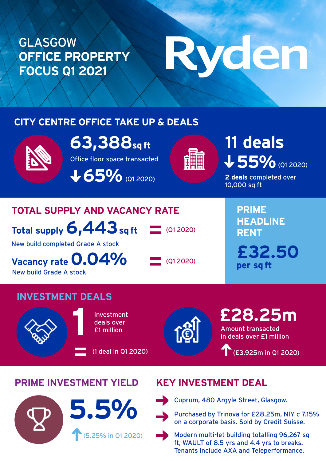### GLASGOW **OFFICE PROPERTY FOCUS Q1 2021**

# Ryden

#### **CITY CENTRE OFFICE TAKE UP & DEALS**



**63,388sq ft**

Office floor space transacted

**165%** (Q1 2020)



## 55% @1 2020) **11 deals**

**2 deals** completed over 10,000 sq ft

#### **TOTAL SUPPLY AND VACANCY RATE**

**Total supply 6,443 sq ft**

(Q1 2020)

New build completed Grade A stock

**Vacancy rate 0.04%** New build Grade A stock

 $\Box$  (Q1 2020)

**PRIME HEADLINE RENT £32.50 per sq ft**

#### **INVESTMENT DEALS**



Investment **1** Investment<br>deals over<br>**1** £1 million

(1 deal in Q1 2020)



Amount transacted in deals over £1 million **£28.25m** 

(£3.925m in Q1 2020)

#### **PRIME INVESTMENT YIELD KEY INVESTMENT DEAL**





Cuprum, 480 Argyle Street, Glasgow.

**5.50** Purchased by Trinova for £28.25m, NIY c 7.15% on a corporate basis. Sold by Credit Suisse.



Modern multi-let building totalling 96,267 sq ft, WAULT of 8.5 yrs and 4.4 yrs to breaks. Tenants include AXA and Teleperformance.